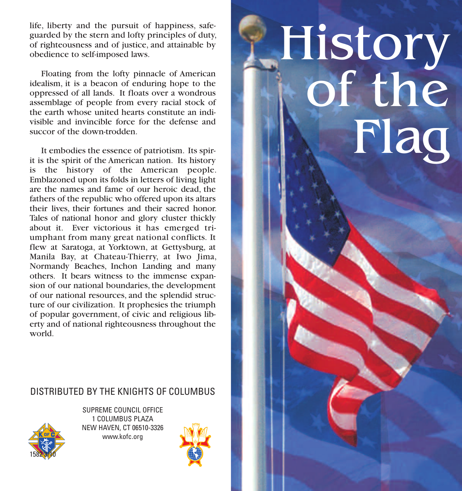life, liberty and the pursuit of happiness, safeguarded by the stern and lofty principles of duty, of righteousness and of justice, and attainable by obedience to self-imposed laws.

 Floating from the lofty pinnacle of American idealism, it is a beacon of enduring hope to the oppressed of all lands. It floats over a wondrous assemblage of people from every racial stock of the earth whose united hearts constitute an indivisible and invincible force for the defense and succor of the down-trodden.

 It embodies the essence of patriotism. Its spirit is the spirit of the American nation. Its history is the history of the American people. Emblazoned upon its folds in letters of living light are the names and fame of our heroic dead, the fathers of the republic who offered upon its altars their lives, their fortunes and their sacred honor. Tales of national honor and glory cluster thickly about it. Ever victorious it has emerged triumphant from many great national conflicts. It flew at Saratoga, at Yorktown, at Gettysburg, at Manila Bay, at Chateau-Thierry, at Iwo Jima, Normandy Beaches, Inchon Landing and many others. It bears witness to the immense expansion of our national boundaries, the development of our national resources, and the splendid structure of our civilization. It prophesies the triumph of popular government, of civic and religious liberty and of national righteousness throughout the world.

## DISTRIBUTED BY THE KNIGHTS OF COLUMBUS



SUPREME COUNCIL OFFICE 1 COLUMBUS PLAZA NEW HAVEN, CT 06510-3326 www.kofc.org



## History of the Flag